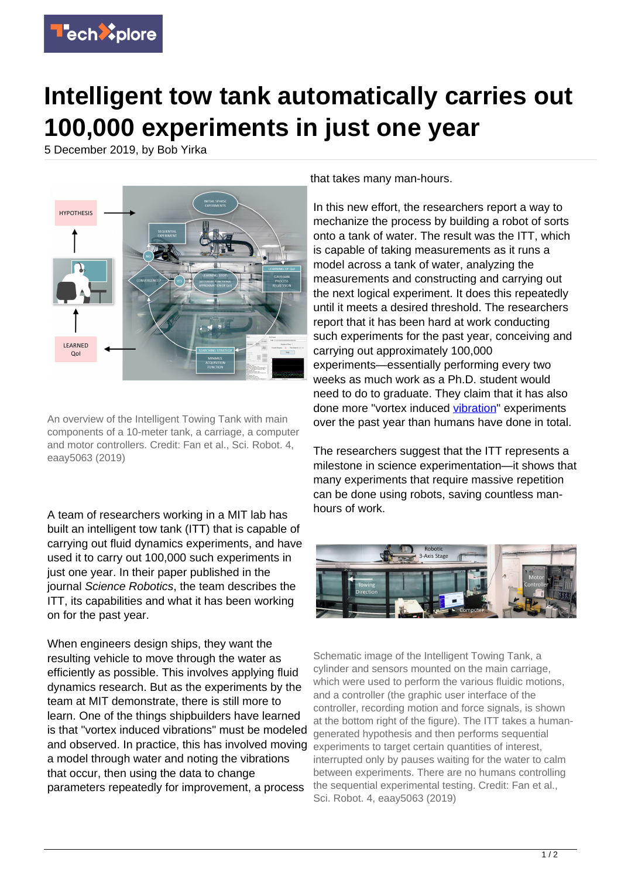

## **Intelligent tow tank automatically carries out 100,000 experiments in just one year**

5 December 2019, by Bob Yirka



An overview of the Intelligent Towing Tank with main components of a 10-meter tank, a carriage, a computer and motor controllers. Credit: Fan et al., Sci. Robot. 4, eaay5063 (2019)

A team of researchers working in a MIT lab has built an intelligent tow tank (ITT) that is capable of carrying out fluid dynamics experiments, and have used it to carry out 100,000 such experiments in just one year. In their paper published in the journal Science Robotics, the team describes the ITT, its capabilities and what it has been working on for the past year.

When engineers design ships, they want the resulting vehicle to move through the water as efficiently as possible. This involves applying fluid dynamics research. But as the experiments by the team at MIT demonstrate, there is still more to learn. One of the things shipbuilders have learned is that "vortex induced vibrations" must be modeled and observed. In practice, this has involved moving a model through water and noting the vibrations that occur, then using the data to change parameters repeatedly for improvement, a process

that takes many man-hours.

In this new effort, the researchers report a way to mechanize the process by building a robot of sorts onto a tank of water. The result was the ITT, which is capable of taking measurements as it runs a model across a tank of water, analyzing the measurements and constructing and carrying out the next logical experiment. It does this repeatedly until it meets a desired threshold. The researchers report that it has been hard at work conducting such experiments for the past year, conceiving and carrying out approximately 100,000 experiments—essentially performing every two weeks as much work as a Ph.D. student would need to do to graduate. They claim that it has also done more "vortex induced [vibration](https://techxplore.com/tags/vibration/)" experiments over the past year than humans have done in total.

The researchers suggest that the ITT represents a milestone in science experimentation—it shows that many experiments that require massive repetition can be done using robots, saving countless manhours of work.



Schematic image of the Intelligent Towing Tank, a cylinder and sensors mounted on the main carriage, which were used to perform the various fluidic motions, and a controller (the graphic user interface of the controller, recording motion and force signals, is shown at the bottom right of the figure). The ITT takes a humangenerated hypothesis and then performs sequential experiments to target certain quantities of interest, interrupted only by pauses waiting for the water to calm between experiments. There are no humans controlling the sequential experimental testing. Credit: Fan et al., Sci. Robot. 4, eaay5063 (2019)